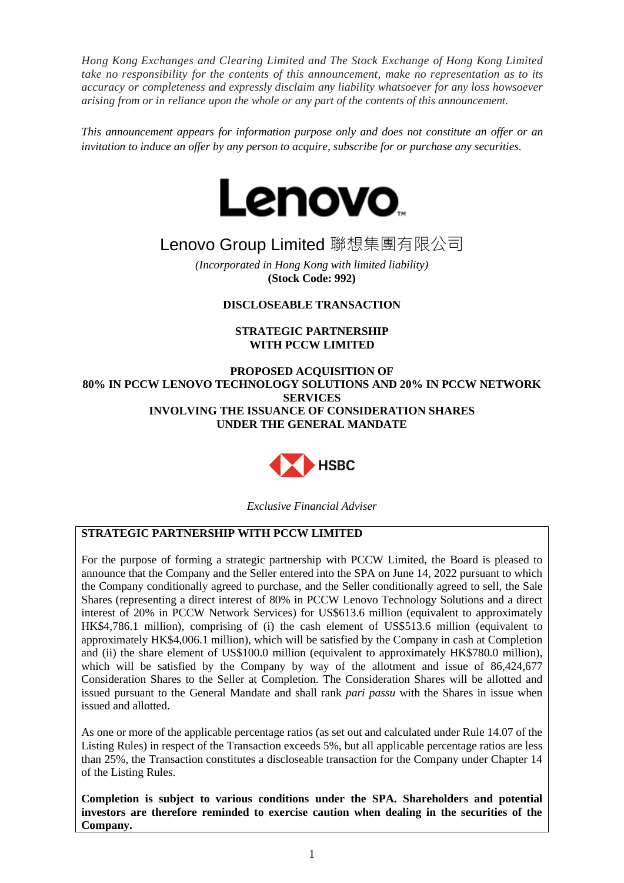*Hong Kong Exchanges and Clearing Limited and The Stock Exchange of Hong Kong Limited take no responsibility for the contents of this announcement, make no representation as to its accuracy or completeness and expressly disclaim any liability whatsoever for any loss howsoever arising from or in reliance upon the whole or any part of the contents of this announcement.*

*This announcement appears for information purpose only and does not constitute an offer or an invitation to induce an offer by any person to acquire, subscribe for or purchase any securities.*



# Lenovo Group Limited 聯想集團有限公司

*(Incorporated in Hong Kong with limited liability)* **(Stock Code: 992)**

# **DISCLOSEABLE TRANSACTION**

## **STRATEGIC PARTNERSHIP WITH PCCW LIMITED**

**PROPOSED ACQUISITION OF 80% IN PCCW LENOVO TECHNOLOGY SOLUTIONS AND 20% IN PCCW NETWORK SERVICES INVOLVING THE ISSUANCE OF CONSIDERATION SHARES UNDER THE GENERAL MANDATE**



*Exclusive Financial Adviser*

# **STRATEGIC PARTNERSHIP WITH PCCW LIMITED**

For the purpose of forming a strategic partnership with PCCW Limited, the Board is pleased to announce that the Company and the Seller entered into the SPA on June 14, 2022 pursuant to which the Company conditionally agreed to purchase, and the Seller conditionally agreed to sell, the Sale Shares (representing a direct interest of 80% in PCCW Lenovo Technology Solutions and a direct interest of 20% in PCCW Network Services) for US\$613.6 million (equivalent to approximately HK\$4,786.1 million), comprising of (i) the cash element of US\$513.6 million (equivalent to approximately HK\$4,006.1 million), which will be satisfied by the Company in cash at Completion and (ii) the share element of US\$100.0 million (equivalent to approximately HK\$780.0 million), which will be satisfied by the Company by way of the allotment and issue of 86,424,677 Consideration Shares to the Seller at Completion. The Consideration Shares will be allotted and issued pursuant to the General Mandate and shall rank *pari passu* with the Shares in issue when issued and allotted.

As one or more of the applicable percentage ratios (as set out and calculated under Rule 14.07 of the Listing Rules) in respect of the Transaction exceeds 5%, but all applicable percentage ratios are less than 25%, the Transaction constitutes a discloseable transaction for the Company under Chapter 14 of the Listing Rules.

**Completion is subject to various conditions under the SPA. Shareholders and potential investors are therefore reminded to exercise caution when dealing in the securities of the Company.**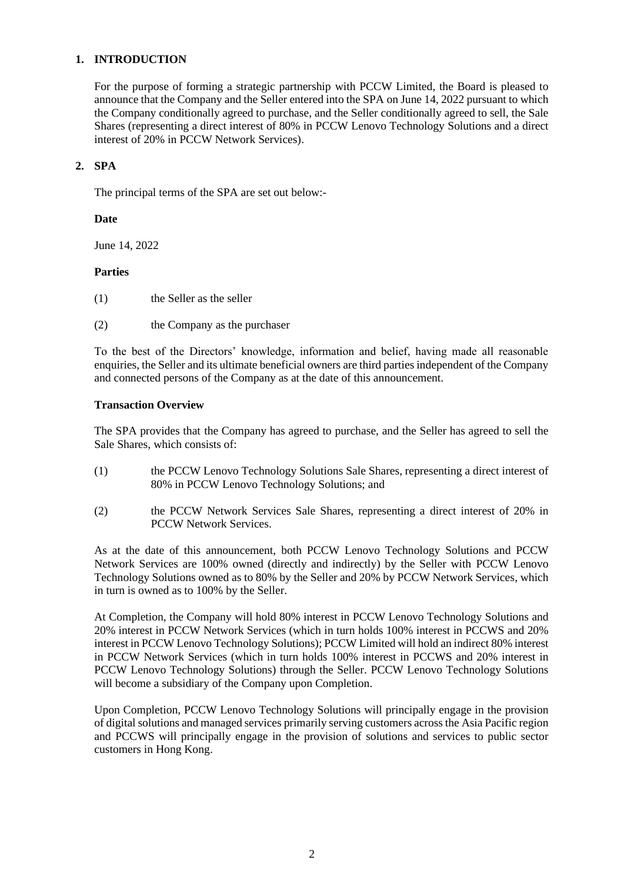## **1. INTRODUCTION**

For the purpose of forming a strategic partnership with PCCW Limited, the Board is pleased to announce that the Company and the Seller entered into the SPA on June 14, 2022 pursuant to which the Company conditionally agreed to purchase, and the Seller conditionally agreed to sell, the Sale Shares (representing a direct interest of 80% in PCCW Lenovo Technology Solutions and a direct interest of 20% in PCCW Network Services).

#### **2. SPA**

The principal terms of the SPA are set out below:-

#### **Date**

June 14, 2022

## **Parties**

- (1) the Seller as the seller
- (2) the Company as the purchaser

To the best of the Directors' knowledge, information and belief, having made all reasonable enquiries, the Seller and its ultimate beneficial owners are third parties independent of the Company and connected persons of the Company as at the date of this announcement.

#### **Transaction Overview**

The SPA provides that the Company has agreed to purchase, and the Seller has agreed to sell the Sale Shares, which consists of:

- (1) the PCCW Lenovo Technology Solutions Sale Shares, representing a direct interest of 80% in PCCW Lenovo Technology Solutions; and
- (2) the PCCW Network Services Sale Shares, representing a direct interest of 20% in PCCW Network Services.

As at the date of this announcement, both PCCW Lenovo Technology Solutions and PCCW Network Services are 100% owned (directly and indirectly) by the Seller with PCCW Lenovo Technology Solutions owned as to 80% by the Seller and 20% by PCCW Network Services, which in turn is owned as to 100% by the Seller.

At Completion, the Company will hold 80% interest in PCCW Lenovo Technology Solutions and 20% interest in PCCW Network Services (which in turn holds 100% interest in PCCWS and 20% interest in PCCW Lenovo Technology Solutions); PCCW Limited will hold an indirect 80% interest in PCCW Network Services (which in turn holds 100% interest in PCCWS and 20% interest in PCCW Lenovo Technology Solutions) through the Seller. PCCW Lenovo Technology Solutions will become a subsidiary of the Company upon Completion.

Upon Completion, PCCW Lenovo Technology Solutions will principally engage in the provision of digital solutions and managed services primarily serving customers across the Asia Pacific region and PCCWS will principally engage in the provision of solutions and services to public sector customers in Hong Kong.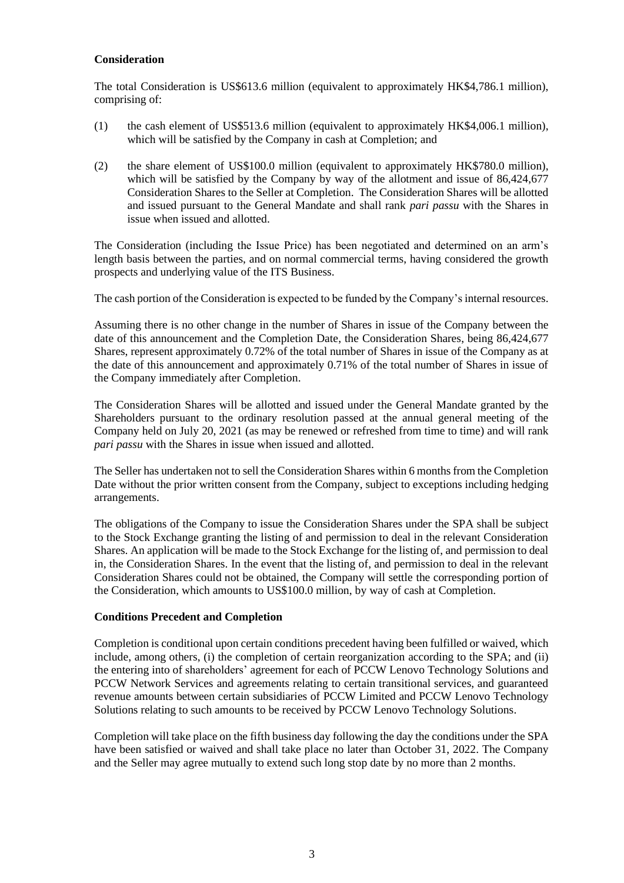#### **Consideration**

The total Consideration is US\$613.6 million (equivalent to approximately HK\$4,786.1 million), comprising of:

- (1) the cash element of US\$513.6 million (equivalent to approximately HK\$4,006.1 million), which will be satisfied by the Company in cash at Completion; and
- (2) the share element of US\$100.0 million (equivalent to approximately HK\$780.0 million), which will be satisfied by the Company by way of the allotment and issue of 86,424,677 Consideration Shares to the Seller at Completion. The Consideration Shares will be allotted and issued pursuant to the General Mandate and shall rank *pari passu* with the Shares in issue when issued and allotted.

The Consideration (including the Issue Price) has been negotiated and determined on an arm's length basis between the parties, and on normal commercial terms, having considered the growth prospects and underlying value of the ITS Business.

The cash portion of the Consideration is expected to be funded by the Company's internal resources.

Assuming there is no other change in the number of Shares in issue of the Company between the date of this announcement and the Completion Date, the Consideration Shares, being 86,424,677 Shares, represent approximately 0.72% of the total number of Shares in issue of the Company as at the date of this announcement and approximately 0.71% of the total number of Shares in issue of the Company immediately after Completion.

The Consideration Shares will be allotted and issued under the General Mandate granted by the Shareholders pursuant to the ordinary resolution passed at the annual general meeting of the Company held on July 20, 2021 (as may be renewed or refreshed from time to time) and will rank *pari passu* with the Shares in issue when issued and allotted.

The Seller has undertaken not to sell the Consideration Shares within 6 months from the Completion Date without the prior written consent from the Company, subject to exceptions including hedging arrangements.

The obligations of the Company to issue the Consideration Shares under the SPA shall be subject to the Stock Exchange granting the listing of and permission to deal in the relevant Consideration Shares. An application will be made to the Stock Exchange for the listing of, and permission to deal in, the Consideration Shares. In the event that the listing of, and permission to deal in the relevant Consideration Shares could not be obtained, the Company will settle the corresponding portion of the Consideration, which amounts to US\$100.0 million, by way of cash at Completion.

#### **Conditions Precedent and Completion**

Completion is conditional upon certain conditions precedent having been fulfilled or waived, which include, among others, (i) the completion of certain reorganization according to the SPA; and (ii) the entering into of shareholders' agreement for each of PCCW Lenovo Technology Solutions and PCCW Network Services and agreements relating to certain transitional services, and guaranteed revenue amounts between certain subsidiaries of PCCW Limited and PCCW Lenovo Technology Solutions relating to such amounts to be received by PCCW Lenovo Technology Solutions.

Completion will take place on the fifth business day following the day the conditions under the SPA have been satisfied or waived and shall take place no later than October 31, 2022. The Company and the Seller may agree mutually to extend such long stop date by no more than 2 months.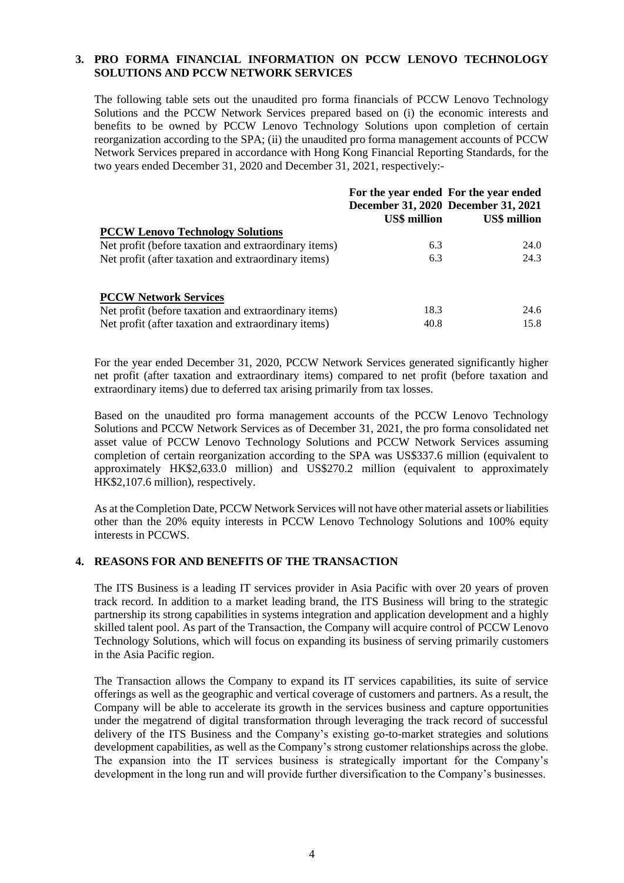## **3. PRO FORMA FINANCIAL INFORMATION ON PCCW LENOVO TECHNOLOGY SOLUTIONS AND PCCW NETWORK SERVICES**

The following table sets out the unaudited pro forma financials of PCCW Lenovo Technology Solutions and the PCCW Network Services prepared based on (i) the economic interests and benefits to be owned by PCCW Lenovo Technology Solutions upon completion of certain reorganization according to the SPA; (ii) the unaudited pro forma management accounts of PCCW Network Services prepared in accordance with Hong Kong Financial Reporting Standards, for the two years ended December 31, 2020 and December 31, 2021, respectively:-

|                                                      |                     | For the year ended For the year ended<br>December 31, 2020 December 31, 2021 |
|------------------------------------------------------|---------------------|------------------------------------------------------------------------------|
|                                                      | <b>US\$ million</b> | <b>US\$</b> million                                                          |
| <b>PCCW Lenovo Technology Solutions</b>              |                     |                                                                              |
| Net profit (before taxation and extraordinary items) | 6.3                 | 24.0                                                                         |
| Net profit (after taxation and extraordinary items)  | 6.3                 | 24.3                                                                         |
| <b>PCCW Network Services</b>                         |                     |                                                                              |
| Net profit (before taxation and extraordinary items) | 18.3                | 24.6                                                                         |
| Net profit (after taxation and extraordinary items)  | 40.8                | 15.8                                                                         |

For the year ended December 31, 2020, PCCW Network Services generated significantly higher net profit (after taxation and extraordinary items) compared to net profit (before taxation and extraordinary items) due to deferred tax arising primarily from tax losses.

Based on the unaudited pro forma management accounts of the PCCW Lenovo Technology Solutions and PCCW Network Services as of December 31, 2021, the pro forma consolidated net asset value of PCCW Lenovo Technology Solutions and PCCW Network Services assuming completion of certain reorganization according to the SPA was US\$337.6 million (equivalent to approximately HK\$2,633.0 million) and US\$270.2 million (equivalent to approximately HK\$2,107.6 million), respectively.

As at the Completion Date, PCCW Network Services will not have other material assets or liabilities other than the 20% equity interests in PCCW Lenovo Technology Solutions and 100% equity interests in PCCWS.

# **4. REASONS FOR AND BENEFITS OF THE TRANSACTION**

The ITS Business is a leading IT services provider in Asia Pacific with over 20 years of proven track record. In addition to a market leading brand, the ITS Business will bring to the strategic partnership its strong capabilities in systems integration and application development and a highly skilled talent pool. As part of the Transaction, the Company will acquire control of PCCW Lenovo Technology Solutions, which will focus on expanding its business of serving primarily customers in the Asia Pacific region.

The Transaction allows the Company to expand its IT services capabilities, its suite of service offerings as well as the geographic and vertical coverage of customers and partners. As a result, the Company will be able to accelerate its growth in the services business and capture opportunities under the megatrend of digital transformation through leveraging the track record of successful delivery of the ITS Business and the Company's existing go-to-market strategies and solutions development capabilities, as well as the Company's strong customer relationships across the globe. The expansion into the IT services business is strategically important for the Company's development in the long run and will provide further diversification to the Company's businesses.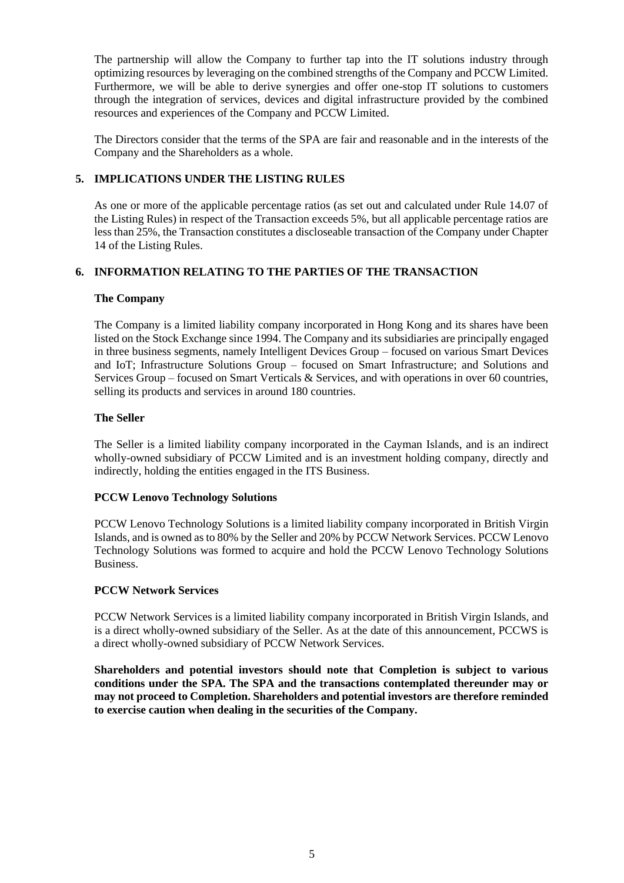The partnership will allow the Company to further tap into the IT solutions industry through optimizing resources by leveraging on the combined strengths of the Company and PCCW Limited. Furthermore, we will be able to derive synergies and offer one-stop IT solutions to customers through the integration of services, devices and digital infrastructure provided by the combined resources and experiences of the Company and PCCW Limited.

The Directors consider that the terms of the SPA are fair and reasonable and in the interests of the Company and the Shareholders as a whole.

## **5. IMPLICATIONS UNDER THE LISTING RULES**

As one or more of the applicable percentage ratios (as set out and calculated under Rule 14.07 of the Listing Rules) in respect of the Transaction exceeds 5%, but all applicable percentage ratios are less than 25%, the Transaction constitutes a discloseable transaction of the Company under Chapter 14 of the Listing Rules.

# **6. INFORMATION RELATING TO THE PARTIES OF THE TRANSACTION**

## **The Company**

The Company is a limited liability company incorporated in Hong Kong and its shares have been listed on the Stock Exchange since 1994. The Company and its subsidiaries are principally engaged in three business segments, namely Intelligent Devices Group – focused on various Smart Devices and IoT; Infrastructure Solutions Group – focused on Smart Infrastructure; and Solutions and Services Group – focused on Smart Verticals & Services, and with operations in over 60 countries, selling its products and services in around 180 countries.

## **The Seller**

The Seller is a limited liability company incorporated in the Cayman Islands, and is an indirect wholly-owned subsidiary of PCCW Limited and is an investment holding company, directly and indirectly, holding the entities engaged in the ITS Business.

## **PCCW Lenovo Technology Solutions**

PCCW Lenovo Technology Solutions is a limited liability company incorporated in British Virgin Islands, and is owned as to 80% by the Seller and 20% by PCCW Network Services. PCCW Lenovo Technology Solutions was formed to acquire and hold the PCCW Lenovo Technology Solutions Business.

## **PCCW Network Services**

PCCW Network Services is a limited liability company incorporated in British Virgin Islands, and is a direct wholly-owned subsidiary of the Seller. As at the date of this announcement, PCCWS is a direct wholly-owned subsidiary of PCCW Network Services.

**Shareholders and potential investors should note that Completion is subject to various conditions under the SPA. The SPA and the transactions contemplated thereunder may or may not proceed to Completion. Shareholders and potential investors are therefore reminded to exercise caution when dealing in the securities of the Company.**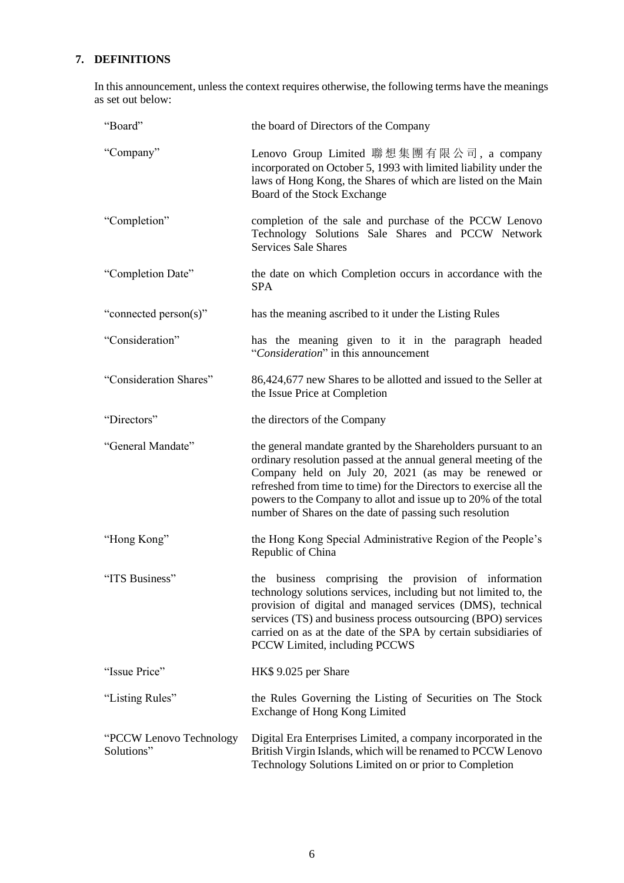# **7. DEFINITIONS**

In this announcement, unless the context requires otherwise, the following terms have the meanings as set out below:

| "Board"                                | the board of Directors of the Company                                                                                                                                                                                                                                                                                                                                                        |
|----------------------------------------|----------------------------------------------------------------------------------------------------------------------------------------------------------------------------------------------------------------------------------------------------------------------------------------------------------------------------------------------------------------------------------------------|
| "Company"                              | Lenovo Group Limited 聯想集團有限公司, a company<br>incorporated on October 5, 1993 with limited liability under the<br>laws of Hong Kong, the Shares of which are listed on the Main<br>Board of the Stock Exchange                                                                                                                                                                                 |
| "Completion"                           | completion of the sale and purchase of the PCCW Lenovo<br>Technology Solutions Sale Shares and PCCW Network<br><b>Services Sale Shares</b>                                                                                                                                                                                                                                                   |
| "Completion Date"                      | the date on which Completion occurs in accordance with the<br><b>SPA</b>                                                                                                                                                                                                                                                                                                                     |
| "connected person(s)"                  | has the meaning ascribed to it under the Listing Rules                                                                                                                                                                                                                                                                                                                                       |
| "Consideration"                        | has the meaning given to it in the paragraph headed<br>"Consideration" in this announcement                                                                                                                                                                                                                                                                                                  |
| "Consideration Shares"                 | 86,424,677 new Shares to be allotted and issued to the Seller at<br>the Issue Price at Completion                                                                                                                                                                                                                                                                                            |
| "Directors"                            | the directors of the Company                                                                                                                                                                                                                                                                                                                                                                 |
| "General Mandate"                      | the general mandate granted by the Shareholders pursuant to an<br>ordinary resolution passed at the annual general meeting of the<br>Company held on July 20, 2021 (as may be renewed or<br>refreshed from time to time) for the Directors to exercise all the<br>powers to the Company to allot and issue up to 20% of the total<br>number of Shares on the date of passing such resolution |
| "Hong Kong"                            | the Hong Kong Special Administrative Region of the People's<br>Republic of China                                                                                                                                                                                                                                                                                                             |
| "ITS Business"                         | comprising the provision of information<br>the business<br>technology solutions services, including but not limited to, the<br>provision of digital and managed services (DMS), technical<br>services (TS) and business process outsourcing (BPO) services<br>carried on as at the date of the SPA by certain subsidiaries of<br>PCCW Limited, including PCCWS                               |
| "Issue Price"                          | HK\$ 9.025 per Share                                                                                                                                                                                                                                                                                                                                                                         |
| "Listing Rules"                        | the Rules Governing the Listing of Securities on The Stock<br>Exchange of Hong Kong Limited                                                                                                                                                                                                                                                                                                  |
| "PCCW Lenovo Technology"<br>Solutions" | Digital Era Enterprises Limited, a company incorporated in the<br>British Virgin Islands, which will be renamed to PCCW Lenovo<br>Technology Solutions Limited on or prior to Completion                                                                                                                                                                                                     |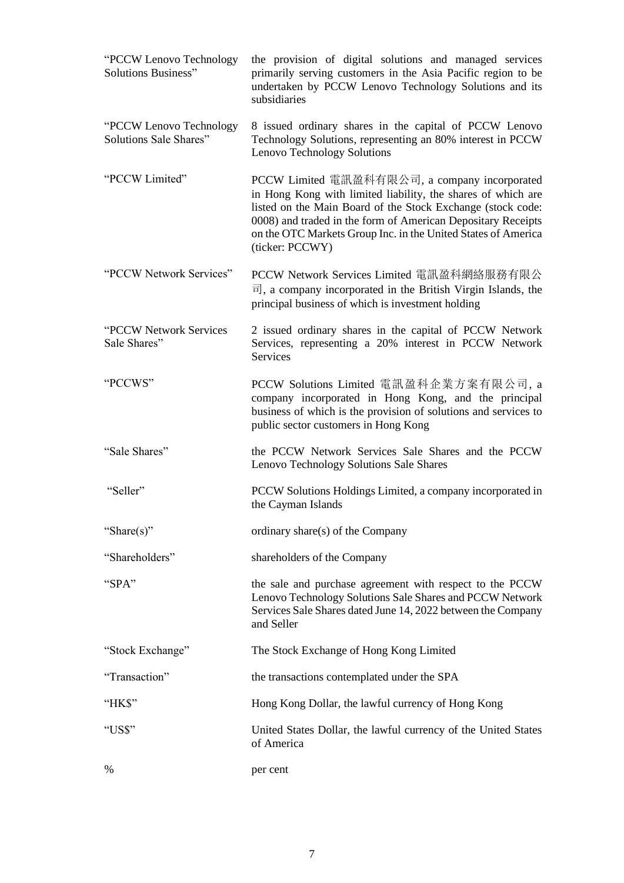| "PCCW Lenovo Technology<br><b>Solutions Business"</b> | the provision of digital solutions and managed services<br>primarily serving customers in the Asia Pacific region to be<br>undertaken by PCCW Lenovo Technology Solutions and its<br>subsidiaries                                                                                                                                |
|-------------------------------------------------------|----------------------------------------------------------------------------------------------------------------------------------------------------------------------------------------------------------------------------------------------------------------------------------------------------------------------------------|
| "PCCW Lenovo Technology<br>Solutions Sale Shares"     | 8 issued ordinary shares in the capital of PCCW Lenovo<br>Technology Solutions, representing an 80% interest in PCCW<br>Lenovo Technology Solutions                                                                                                                                                                              |
| "PCCW Limited"                                        | PCCW Limited 電訊盈科有限公司, a company incorporated<br>in Hong Kong with limited liability, the shares of which are<br>listed on the Main Board of the Stock Exchange (stock code:<br>0008) and traded in the form of American Depositary Receipts<br>on the OTC Markets Group Inc. in the United States of America<br>(ticker: PCCWY) |
| "PCCW Network Services"                               | PCCW Network Services Limited 電訊盈科網絡服務有限公<br>$\overline{H}$ , a company incorporated in the British Virgin Islands, the<br>principal business of which is investment holding                                                                                                                                                     |
| "PCCW Network Services<br>Sale Shares"                | 2 issued ordinary shares in the capital of PCCW Network<br>Services, representing a 20% interest in PCCW Network<br><b>Services</b>                                                                                                                                                                                              |
| "PCCWS"                                               | PCCW Solutions Limited 電訊盈科企業方案有限公司, a<br>company incorporated in Hong Kong, and the principal<br>business of which is the provision of solutions and services to<br>public sector customers in Hong Kong                                                                                                                        |
| "Sale Shares"                                         | the PCCW Network Services Sale Shares and the PCCW<br>Lenovo Technology Solutions Sale Shares                                                                                                                                                                                                                                    |
| "Seller"                                              | PCCW Solutions Holdings Limited, a company incorporated in<br>the Cayman Islands                                                                                                                                                                                                                                                 |
| "Share(s)"                                            | ordinary share(s) of the Company                                                                                                                                                                                                                                                                                                 |
| "Shareholders"                                        | shareholders of the Company                                                                                                                                                                                                                                                                                                      |
| "SPA"                                                 | the sale and purchase agreement with respect to the PCCW<br>Lenovo Technology Solutions Sale Shares and PCCW Network<br>Services Sale Shares dated June 14, 2022 between the Company<br>and Seller                                                                                                                               |
| "Stock Exchange"                                      | The Stock Exchange of Hong Kong Limited                                                                                                                                                                                                                                                                                          |
| "Transaction"                                         | the transactions contemplated under the SPA                                                                                                                                                                                                                                                                                      |
| "HK\$"                                                | Hong Kong Dollar, the lawful currency of Hong Kong                                                                                                                                                                                                                                                                               |
| "US\$"                                                | United States Dollar, the lawful currency of the United States<br>of America                                                                                                                                                                                                                                                     |
| $\%$                                                  | per cent                                                                                                                                                                                                                                                                                                                         |